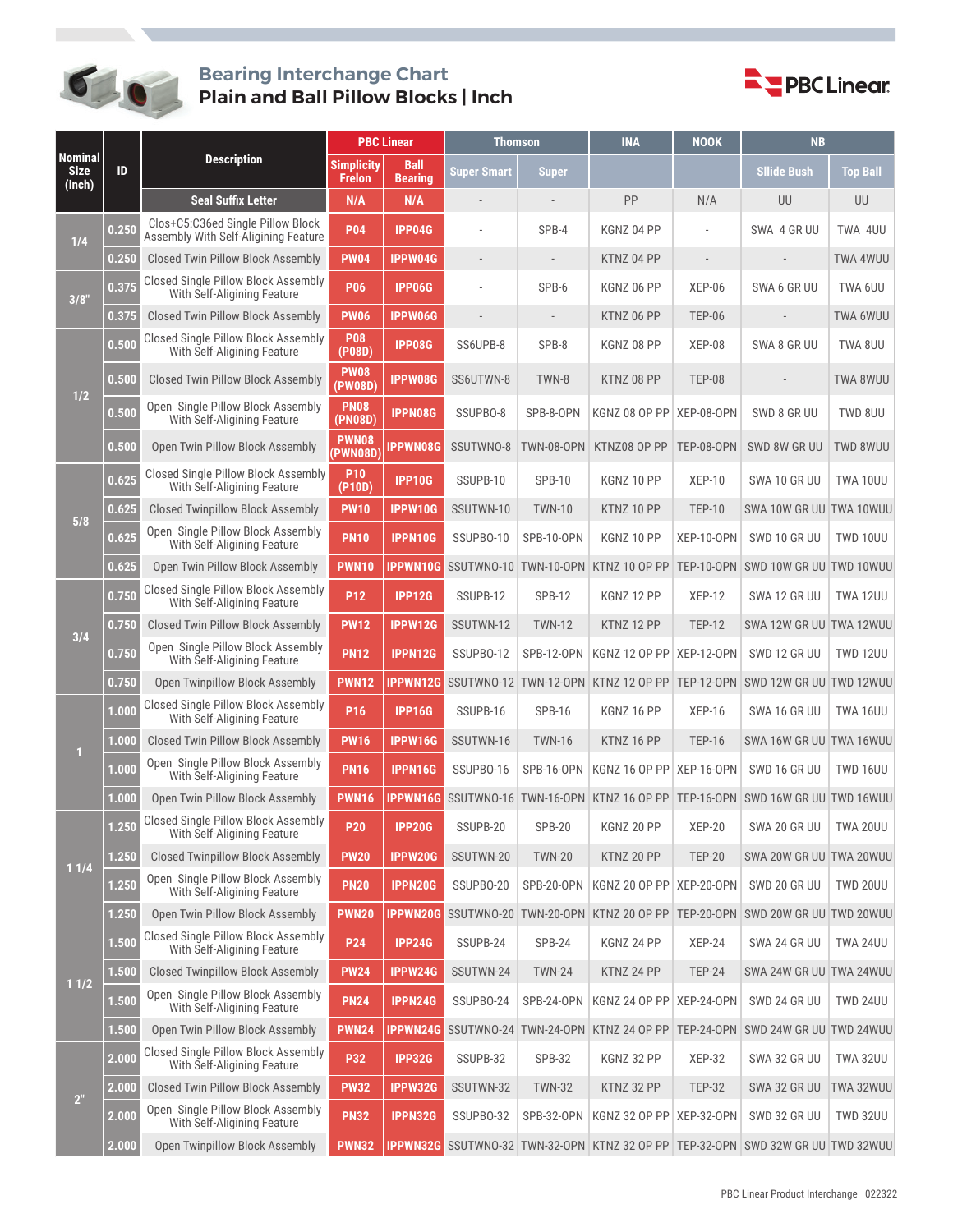

## **Bearing Interchange Chart Plain and Ball Pillow Blocks | Inch**



|                                         | ID    | <b>Description</b>                                                        | <b>PBC Linear</b>                  |                               | Thomson            |                   | <b>INA</b>                 | <b>NOOK</b>              | <b>NB</b>                                                                                                                                                                                                                                                                                                                                                                                                                                                                                                                                                                                                                                                                                                                   |                 |
|-----------------------------------------|-------|---------------------------------------------------------------------------|------------------------------------|-------------------------------|--------------------|-------------------|----------------------------|--------------------------|-----------------------------------------------------------------------------------------------------------------------------------------------------------------------------------------------------------------------------------------------------------------------------------------------------------------------------------------------------------------------------------------------------------------------------------------------------------------------------------------------------------------------------------------------------------------------------------------------------------------------------------------------------------------------------------------------------------------------------|-----------------|
| <b>Nominal</b><br><b>Size</b><br>(inch) |       |                                                                           | <b>Simplicity</b><br><b>Frelon</b> | <b>Ball</b><br><b>Bearing</b> | <b>Super Smart</b> | <b>Super</b>      |                            |                          | <b>Sllide Bush</b>                                                                                                                                                                                                                                                                                                                                                                                                                                                                                                                                                                                                                                                                                                          | <b>Top Ball</b> |
|                                         |       | <b>Seal Suffix Letter</b>                                                 | N/A                                | N/A                           |                    |                   | PP                         | N/A                      | UU                                                                                                                                                                                                                                                                                                                                                                                                                                                                                                                                                                                                                                                                                                                          | UU              |
| 1/4                                     | 0.250 | Clos+C5:C36ed Single Pillow Block<br>Assembly With Self-Aligining Feature | <b>P04</b>                         | <b>IPP04G</b>                 |                    | SPB-4             | KGNZ 04 PP                 |                          | SWA 4 GR UU                                                                                                                                                                                                                                                                                                                                                                                                                                                                                                                                                                                                                                                                                                                 | TWA 4UU         |
|                                         | 0.250 | Closed Twin Pillow Block Assembly                                         | <b>PW04</b>                        | IPPW04G                       |                    |                   | KTNZ 04 PP                 | $\overline{\phantom{a}}$ |                                                                                                                                                                                                                                                                                                                                                                                                                                                                                                                                                                                                                                                                                                                             | <b>TWA 4WUU</b> |
| 3/8"                                    | 0.375 | Closed Single Pillow Block Assembly<br>With Self-Aligining Feature        | <b>P06</b>                         | <b>IPP06G</b>                 |                    | SPB-6             | KGNZ 06 PP                 | $XEP-06$                 | SWA 6 GR UU                                                                                                                                                                                                                                                                                                                                                                                                                                                                                                                                                                                                                                                                                                                 | TWA 6UU         |
|                                         | 0.375 | Closed Twin Pillow Block Assembly                                         | <b>PW06</b>                        | IPPW06G                       |                    |                   | KTNZ 06 PP                 | <b>TEP-06</b>            | SWA 8 GR UU<br>SWD 8 GR UU<br>SWD 8W GR UU<br>SWA 10 GR UU<br>SWA 10W GR UU TWA 10WUU<br>SWD 10 GR UU<br>SWD 10W GR UU TWD 10WUU<br>SWA 12 GR UU<br>SWA 12W GR UU TWA 12WUU<br>SWD 12 GR UU<br>SSUTWNO-12 TWN-12-OPN KTNZ 12 OP PP TEP-12-OPN SWD 12W GR UU TWD 12WUU<br>SWA 16 GR UU<br>SWA 16W GR UU TWA 16WUU<br>SWD 16 GR UU<br>SSUTWNO-16 TWN-16-OPN KTNZ 16 OP PP TEP-16-OPN SWD 16W GR UU TWD 16WUU<br>SWA 20 GR UU   TWA 20UU<br>SWA 20W GR UU TWA 20WUU<br>SWD 20 GR UU<br>SWD 20W GR UU TWD 20WUU<br>SWA 24 GR UU<br>SWA 24W GR UU TWA 24WUU<br>SWD 24 GR UU<br>SWD 24W GR UU TWD 24WUU<br>SWA 32 GR UU<br>SWA 32 GR UU<br>SWD 32 GR UU<br>SSUTWNO-32 TWN-32-OPN KTNZ 32 OP PP TEP-32-OPN SWD 32W GR UU TWD 32WUU | <b>TWA 6WUU</b> |
|                                         | 0.500 | Closed Single Pillow Block Assembly<br>With Self-Aligining Feature        | <b>P08</b><br>(PO8D)               | <b>IPP08G</b>                 | SS6UPB-8           | SPB-8             | KGNZ 08 PP                 | XEP-08                   |                                                                                                                                                                                                                                                                                                                                                                                                                                                                                                                                                                                                                                                                                                                             | TWA 8UU         |
| 1/2                                     | 0.500 | Closed Twin Pillow Block Assembly                                         | <b>PW08</b><br>(PW08D)             | IPPW08G                       | SS6UTWN-8          | TWN-8             | KTNZ 08 PP                 | <b>TEP-08</b>            |                                                                                                                                                                                                                                                                                                                                                                                                                                                                                                                                                                                                                                                                                                                             | TWA 8WUU        |
|                                         | 0.500 | Open Single Pillow Block Assembly<br>With Self-Aligining Feature          | <b>PN08</b><br>(PN08D)             | <b>IPPN08G</b>                | SSUPBO-8           | SPB-8-OPN         | KGNZ 08 OP PP   XEP-08-OPN |                          |                                                                                                                                                                                                                                                                                                                                                                                                                                                                                                                                                                                                                                                                                                                             | TWD 8UU         |
|                                         | 0.500 | Open Twin Pillow Block Assembly                                           | <b>PWN08</b><br>(PWN08D)           | <b>IPPWN08G</b>               | SSUTWN0-8          | <b>TWN-08-OPN</b> | KTNZ08 OP PP               | <b>TEP-08-OPN</b>        |                                                                                                                                                                                                                                                                                                                                                                                                                                                                                                                                                                                                                                                                                                                             | <b>TWD 8WUU</b> |
|                                         | 0.625 | Closed Single Pillow Block Assembly<br>With Self-Aligining Feature        | <b>P10</b><br>$($ P10D $)$         | <b>IPP10G</b>                 | SSUPB-10           | <b>SPB-10</b>     | KGNZ 10 PP                 | <b>XEP-10</b>            |                                                                                                                                                                                                                                                                                                                                                                                                                                                                                                                                                                                                                                                                                                                             | TWA 10UU        |
| 5/8                                     | 0.625 | <b>Closed Twinpillow Block Assembly</b>                                   | <b>PW10</b>                        | <b>IPPW10G</b>                | SSUTWN-10          | <b>TWN-10</b>     | KTNZ 10 PP                 | <b>TEP-10</b>            |                                                                                                                                                                                                                                                                                                                                                                                                                                                                                                                                                                                                                                                                                                                             |                 |
|                                         | 0.625 | Open Single Pillow Block Assembly<br>With Self-Aligining Feature          | <b>PN10</b>                        | <b>IPPN10G</b>                | SSUPBO-10          | SPB-10-OPN        | KGNZ 10 PP                 | XEP-10-OPN               |                                                                                                                                                                                                                                                                                                                                                                                                                                                                                                                                                                                                                                                                                                                             | TWD 10UU        |
|                                         | 0.625 | Open Twin Pillow Block Assembly                                           | <b>PWN10</b>                       | <b>IPPWN10G</b>               | SSUTWNO-10         |                   | TWN-10-OPN KTNZ 10 OP PP   | <b>TEP-10-OPN</b>        |                                                                                                                                                                                                                                                                                                                                                                                                                                                                                                                                                                                                                                                                                                                             |                 |
|                                         | 0.750 | Closed Single Pillow Block Assembly<br>With Self-Aligining Feature        | P <sub>12</sub>                    | <b>IPP12G</b>                 | SSUPB-12           | <b>SPB-12</b>     | KGNZ 12 PP                 | <b>XEP-12</b>            |                                                                                                                                                                                                                                                                                                                                                                                                                                                                                                                                                                                                                                                                                                                             | <b>TWA 12UU</b> |
| 3/4                                     | 0.750 | Closed Twin Pillow Block Assembly                                         | <b>PW12</b>                        | <b>IPPW12G</b>                | SSUTWN-12          | <b>TWN-12</b>     | KTNZ 12 PP                 | <b>TEP-12</b>            |                                                                                                                                                                                                                                                                                                                                                                                                                                                                                                                                                                                                                                                                                                                             |                 |
|                                         | 0.750 | Open Single Pillow Block Assembly<br>With Self-Aligining Feature          | <b>PN12</b>                        | <b>IPPN12G</b>                | SSUPBO-12          | <b>SPB-12-OPN</b> | KGNZ 12 OP PP   XEP-12-OPN |                          |                                                                                                                                                                                                                                                                                                                                                                                                                                                                                                                                                                                                                                                                                                                             | <b>TWD 12UU</b> |
|                                         | 0.750 | Open Twinpillow Block Assembly                                            | <b>PWN12</b>                       | <b>IPPWN12G</b>               |                    |                   |                            |                          |                                                                                                                                                                                                                                                                                                                                                                                                                                                                                                                                                                                                                                                                                                                             |                 |
|                                         | 1.000 | Closed Single Pillow Block Assembly<br>With Self-Aligining Feature        | P <sub>16</sub>                    | <b>IPP16G</b>                 | SSUPB-16           | <b>SPB-16</b>     | KGNZ 16 PP                 | <b>XEP-16</b>            |                                                                                                                                                                                                                                                                                                                                                                                                                                                                                                                                                                                                                                                                                                                             | TWA 16UU        |
| $\mathbf{1}$                            | .000  | Closed Twin Pillow Block Assembly                                         | <b>PW16</b>                        | IPPW16G                       | SSUTWN-16          | <b>TWN-16</b>     | KTNZ 16 PP                 | <b>TEP-16</b>            |                                                                                                                                                                                                                                                                                                                                                                                                                                                                                                                                                                                                                                                                                                                             |                 |
|                                         | .000  | Open Single Pillow Block Assembly<br>With Self-Aligining Feature          | <b>PN16</b>                        | <b>IPPN16G</b>                | SSUPBO-16          | SPB-16-OPN        | KGNZ 16 OP PP XEP-16-OPN   |                          |                                                                                                                                                                                                                                                                                                                                                                                                                                                                                                                                                                                                                                                                                                                             | <b>TWD 16UU</b> |
|                                         | .000  | Open Twin Pillow Block Assembly                                           | <b>PWN16</b>                       | <b>IPPWN16G</b>               |                    |                   |                            |                          |                                                                                                                                                                                                                                                                                                                                                                                                                                                                                                                                                                                                                                                                                                                             |                 |
|                                         | 1.250 | Closed Single Pillow Block Assembly<br>With Self-Aligining Feature        | <b>P20</b>                         | <b>IPP20G</b>                 | SSUPB-20           | <b>SPB-20</b>     | KGNZ 20 PP                 | <b>XEP-20</b>            |                                                                                                                                                                                                                                                                                                                                                                                                                                                                                                                                                                                                                                                                                                                             |                 |
| 11/4                                    | 1.250 | <b>Closed Twinpillow Block Assembly</b>                                   | <b>PW20</b>                        | IPPW20G                       | SSUTWN-20          | <b>TWN-20</b>     | KTNZ 20 PP                 | <b>TEP-20</b>            |                                                                                                                                                                                                                                                                                                                                                                                                                                                                                                                                                                                                                                                                                                                             |                 |
|                                         | 1.250 | Open Single Pillow Block Assembly<br>With Self-Aligining Feature          | <b>PN20</b>                        | <b>IPPN20G</b>                | SSUPBO-20          | SPB-20-OPN        | KGNZ 20 OP PP   XEP-20-OPN |                          |                                                                                                                                                                                                                                                                                                                                                                                                                                                                                                                                                                                                                                                                                                                             | <b>TWD 20UU</b> |
|                                         | .250  | Open Twin Pillow Block Assembly                                           | <b>PWN20</b>                       | <b>IPPWN20G</b>               | SSUTWNO-20         |                   | TWN-20-OPN KTNZ 20 OP PP   | TEP-20-OPN               |                                                                                                                                                                                                                                                                                                                                                                                                                                                                                                                                                                                                                                                                                                                             |                 |
| 11/2                                    | 1.500 | Closed Single Pillow Block Assembly<br>With Self-Aligining Feature        | P24                                | <b>IPP24G</b>                 | SSUPB-24           | <b>SPB-24</b>     | KGNZ 24 PP                 | <b>XEP-24</b>            |                                                                                                                                                                                                                                                                                                                                                                                                                                                                                                                                                                                                                                                                                                                             | <b>TWA 24UU</b> |
|                                         | 1.500 | <b>Closed Twinpillow Block Assembly</b>                                   | <b>PW24</b>                        | <b>IPPW24G</b>                | SSUTWN-24          | <b>TWN-24</b>     | KTNZ 24 PP                 | <b>TEP-24</b>            |                                                                                                                                                                                                                                                                                                                                                                                                                                                                                                                                                                                                                                                                                                                             |                 |
|                                         | 1.500 | Open Single Pillow Block Assembly<br>With Self-Aligining Feature          | <b>PN24</b>                        | IPPN24G                       | SSUPBO-24          | SPB-24-OPN        | KGNZ 24 OP PP XEP-24-OPN   |                          |                                                                                                                                                                                                                                                                                                                                                                                                                                                                                                                                                                                                                                                                                                                             | <b>TWD 24UU</b> |
|                                         | 1.500 | Open Twin Pillow Block Assembly                                           | <b>PWN24</b>                       | <b>IPPWN24G</b>               | SSUTWNO-24         |                   | TWN-24-OPN KTNZ 24 OP PP   | TEP-24-OPN               |                                                                                                                                                                                                                                                                                                                                                                                                                                                                                                                                                                                                                                                                                                                             |                 |
|                                         | 2.000 | Closed Single Pillow Block Assembly<br>With Self-Aligining Feature        | <b>P32</b>                         | <b>IPP32G</b>                 | SSUPB-32           | <b>SPB-32</b>     | KGNZ 32 PP                 | <b>XEP-32</b>            |                                                                                                                                                                                                                                                                                                                                                                                                                                                                                                                                                                                                                                                                                                                             | <b>TWA 32UU</b> |
| 2 <sup>''</sup>                         | 2.000 | Closed Twin Pillow Block Assembly                                         | <b>PW32</b>                        | <b>IPPW32G</b>                | SSUTWN-32          | <b>TWN-32</b>     | KTNZ 32 PP                 | <b>TEP-32</b>            |                                                                                                                                                                                                                                                                                                                                                                                                                                                                                                                                                                                                                                                                                                                             | TWA 32WUU       |
|                                         | 2.000 | Open Single Pillow Block Assembly<br>With Self-Aligining Feature          | <b>PN32</b>                        | <b>IPPN32G</b>                | SSUPB0-32          | SPB-32-OPN        | KGNZ 32 OP PP   XEP-32-OPN |                          |                                                                                                                                                                                                                                                                                                                                                                                                                                                                                                                                                                                                                                                                                                                             | <b>TWD 32UU</b> |
|                                         | 2.000 | Open Twinpillow Block Assembly                                            | <b>PWN32</b>                       | IPPWN32G                      |                    |                   |                            |                          |                                                                                                                                                                                                                                                                                                                                                                                                                                                                                                                                                                                                                                                                                                                             |                 |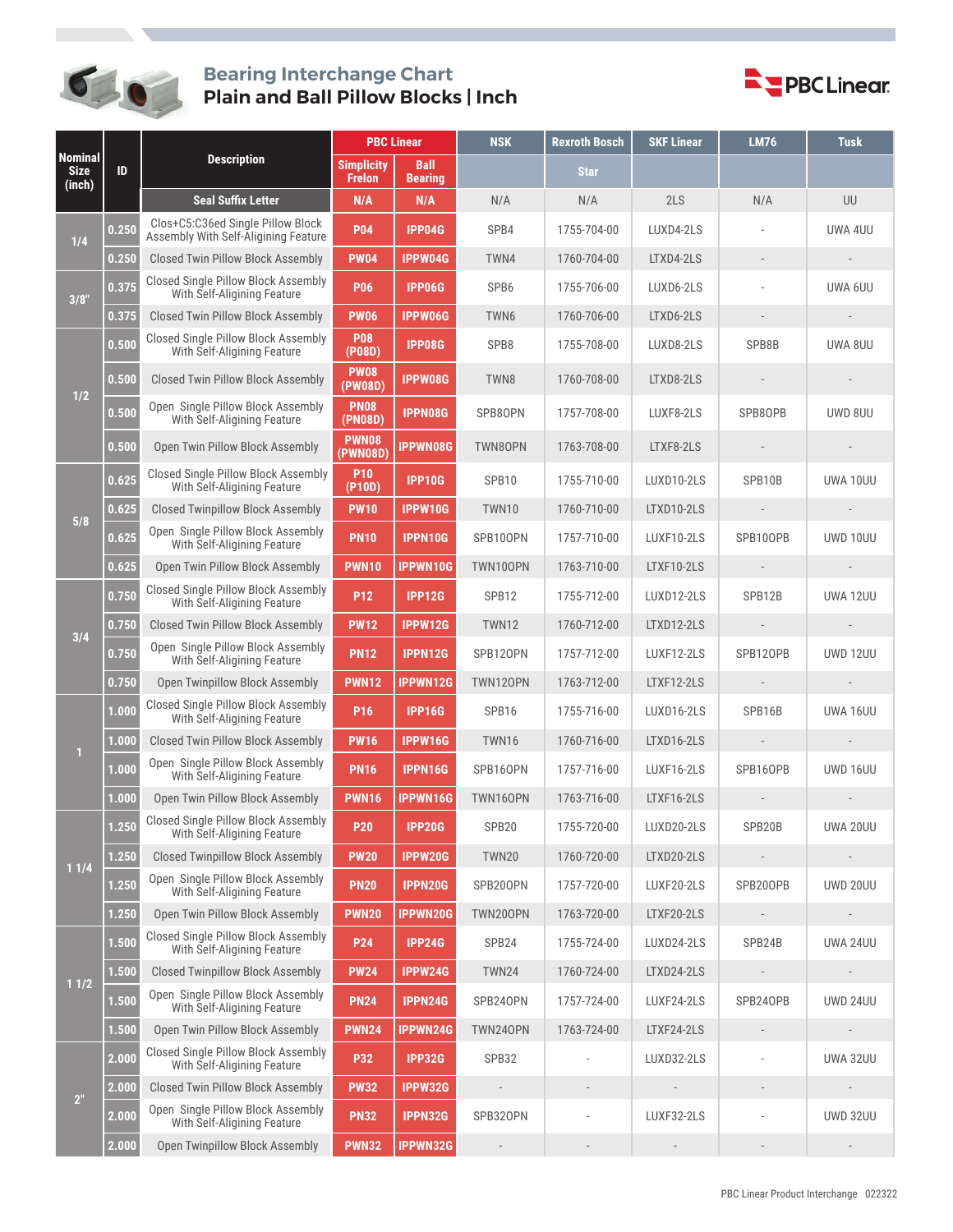

## **Bearing Interchange Chart Plain and Ball Pillow Blocks | Inch**



| <b>Nominal</b><br><b>Size</b><br>(inch) | ID    | <b>Description</b>                                                        | <b>PBC Linear</b>                  |                               | <b>NSK</b>               | <b>Rexroth Bosch</b>     | <b>SKF Linear</b>        | <b>LM76</b>              | <b>Tusk</b>              |
|-----------------------------------------|-------|---------------------------------------------------------------------------|------------------------------------|-------------------------------|--------------------------|--------------------------|--------------------------|--------------------------|--------------------------|
|                                         |       |                                                                           | <b>Simplicity</b><br><b>Frelon</b> | <b>Ball</b><br><b>Bearing</b> |                          | <b>Star</b>              |                          |                          |                          |
|                                         |       | <b>Seal Suffix Letter</b>                                                 | N/A                                | N/A                           | N/A                      | N/A                      | 2LS                      | N/A                      | UU                       |
| 1/4                                     | 0.250 | Clos+C5:C36ed Single Pillow Block<br>Assembly With Self-Aligining Feature | <b>P04</b>                         | <b>IPP04G</b>                 | SPB4                     | 1755-704-00              | LUXD4-2LS                |                          | UWA 4UU                  |
|                                         | 0.250 | <b>Closed Twin Pillow Block Assembly</b>                                  | <b>PW04</b>                        | <b>IPPW04G</b>                | TWN4                     | 1760-704-00              | LTXD4-2LS                |                          |                          |
| 3/8"                                    | 0.375 | Closed Single Pillow Block Assembly<br>With Self-Aligining Feature        | <b>P06</b>                         | <b>IPP06G</b>                 | SPB6                     | 1755-706-00              | LUXD6-2LS                |                          | UWA 6UU                  |
|                                         | 0.375 | <b>Closed Twin Pillow Block Assembly</b>                                  | <b>PW06</b>                        | IPPW06G                       | TWN6                     | 1760-706-00              | LTXD6-2LS                |                          |                          |
|                                         | 0.500 | Closed Single Pillow Block Assembly<br>With Self-Aligining Feature        | <b>P08</b><br>(P08D)               | <b>IPP08G</b>                 | SPB <sub>8</sub>         | 1755-708-00              | LUXD8-2LS                | SPB8B                    | UWA 8UU                  |
| 1/2                                     | 0.500 | Closed Twin Pillow Block Assembly                                         | <b>PW08</b><br>(PW08D)             | IPPW08G                       | TWN8                     | 1760-708-00              | LTXD8-2LS                |                          |                          |
|                                         | 0.500 | Open Single Pillow Block Assembly<br>With Self-Aligining Feature          | <b>PN08</b><br>(PN08D)             | <b>IPPN08G</b>                | SPB80PN                  | 1757-708-00              | LUXF8-2LS                | SPB80PB                  | UWD 8UU                  |
|                                         | 0.500 | Open Twin Pillow Block Assembly                                           | <b>PWN08</b><br>(PWN08D)           | <b>IPPWN08G</b>               | TWN80PN                  | 1763-708-00              | LTXF8-2LS                |                          |                          |
|                                         | 0.625 | Closed Single Pillow Block Assembly<br>With Self-Aligining Feature        | <b>P10</b><br>$($ P10D $)$         | <b>IPP10G</b>                 | SPB10                    | 1755-710-00              | LUXD10-2LS               | SPB10B                   | UWA 10UU                 |
| 5/8                                     | 0.625 | <b>Closed Twinpillow Block Assembly</b>                                   | <b>PW10</b>                        | IPPW10G                       | <b>TWN10</b>             | 1760-710-00              | LTXD10-2LS               | $\overline{\phantom{a}}$ | $\overline{\phantom{a}}$ |
|                                         | 0.625 | Open Single Pillow Block Assembly<br>With Self-Aligining Feature          | <b>PN10</b>                        | IPPN10G                       | SPB100PN                 | 1757-710-00              | LUXF10-2LS               | SPB100PB                 | UWD 10UU                 |
|                                         | 0.625 | Open Twin Pillow Block Assembly                                           | <b>PWN10</b>                       | <b>IPPWN10G</b>               | TWN10OPN                 | 1763-710-00              | LTXF10-2LS               |                          |                          |
|                                         | 0.750 | Closed Single Pillow Block Assembly<br>With Self-Aligining Feature        | P <sub>12</sub>                    | <b>IPP12G</b>                 | SPB12                    | 1755-712-00              | LUXD12-2LS               | SPB12B                   | <b>UWA 12UU</b>          |
| 3/4                                     | 0.750 | <b>Closed Twin Pillow Block Assembly</b>                                  | <b>PW12</b>                        | <b>IPPW12G</b>                | <b>TWN12</b>             | 1760-712-00              | LTXD12-2LS               |                          |                          |
|                                         | 0.750 | Open Single Pillow Block Assembly<br>With Self-Aligining Feature          | <b>PN12</b>                        | <b>IPPN12G</b>                | SPB120PN                 | 1757-712-00              | LUXF12-2LS               | SPB120PB                 | <b>UWD 12UU</b>          |
|                                         | 0.750 | Open Twinpillow Block Assembly                                            | <b>PWN12</b>                       | <b>IPPWN12G</b>               | TWN120PN                 | 1763-712-00              | LTXF12-2LS               |                          |                          |
|                                         | 1.000 | Closed Single Pillow Block Assembly<br>With Self-Aligining Feature        | P <sub>16</sub>                    | <b>IPP16G</b>                 | SPB16                    | 1755-716-00              | LUXD16-2LS               | SPB16B                   | UWA 16UU                 |
| п                                       | .000  | Closed Twin Pillow Block Assembly                                         | <b>PW16</b>                        | <b>IPPW16G</b>                | TWN16                    | 1760-716-00              | LTXD16-2LS               |                          |                          |
|                                         | .000  | Open Single Pillow Block Assembly<br>With Self-Aligining Feature          | <b>PN16</b>                        | IPPN16G                       | SPB160PN                 | 1757-716-00              | LUXF16-2LS               | SPB16OPB                 | UWD 16UU                 |
|                                         | .000  | Open Twin Pillow Block Assembly                                           | <b>PWN16</b>                       | <b>IPPWN16G</b>               | TWN160PN                 | 1763-716-00              | LTXF16-2LS               | $\overline{a}$           |                          |
|                                         | 1.250 | Closed Single Pillow Block Assembly<br>With Self-Aligining Feature        | <b>P20</b>                         | <b>IPP20G</b>                 | SPB <sub>20</sub>        | 1755-720-00              | LUXD20-2LS               | SPB20B                   | <b>UWA 20UU</b>          |
| 11/4                                    | .250  | <b>Closed Twinpillow Block Assembly</b>                                   | <b>PW20</b>                        | <b>IPPW20G</b>                | <b>TWN20</b>             | 1760-720-00              | LTXD20-2LS               |                          |                          |
|                                         | .250  | Open Single Pillow Block Assembly<br>With Self-Aligining Feature          | <b>PN20</b>                        | IPPN20G                       | SPB200PN                 | 1757-720-00              | LUXF20-2LS               | SPB200PB                 | <b>UWD 20UU</b>          |
|                                         | .250  | Open Twin Pillow Block Assembly                                           | <b>PWN20</b>                       | <b>IPPWN20G</b>               | <b>TWN200PN</b>          | 1763-720-00              | LTXF20-2LS               | $\frac{1}{2}$            |                          |
| 11/2                                    | 1.500 | Closed Single Pillow Block Assembly<br>With Self-Aligining Feature        | P24                                | <b>IPP24G</b>                 | SPB24                    | 1755-724-00              | LUXD24-2LS               | SPB24B                   | <b>UWA 24UU</b>          |
|                                         | 1.500 | <b>Closed Twinpillow Block Assembly</b>                                   | <b>PW24</b>                        | <b>IPPW24G</b>                | <b>TWN24</b>             | 1760-724-00              | LTXD24-2LS               |                          |                          |
|                                         | 1.500 | Open Single Pillow Block Assembly<br>With Self-Aligining Feature          | <b>PN24</b>                        | IPPN24G                       | SPB240PN                 | 1757-724-00              | LUXF24-2LS               | SPB240PB                 | <b>UWD 24UU</b>          |
|                                         | 1.500 | Open Twin Pillow Block Assembly                                           | <b>PWN24</b>                       | IPPWN24G                      | TWN240PN                 | 1763-724-00              | LTXF24-2LS               |                          |                          |
|                                         | 2.000 | Closed Single Pillow Block Assembly<br>With Self-Aligining Feature        | <b>P32</b>                         | <b>IPP32G</b>                 | SPB32                    |                          | LUXD32-2LS               |                          | <b>UWA 32UU</b>          |
| 2 <sup>n</sup>                          | 2.000 | <b>Closed Twin Pillow Block Assembly</b>                                  | <b>PW32</b>                        | <b>IPPW32G</b>                | $\overline{\phantom{a}}$ | $\overline{\phantom{a}}$ | $\overline{\phantom{a}}$ | $\overline{\phantom{a}}$ | $\overline{\phantom{a}}$ |
|                                         | 2.000 | Open Single Pillow Block Assembly<br>With Self-Aligining Feature          | <b>PN32</b>                        | IPPN32G                       | SPB320PN                 |                          | LUXF32-2LS               |                          | <b>UWD 32UU</b>          |
|                                         | 2.000 | Open Twinpillow Block Assembly                                            | <b>PWN32</b>                       | IPPWN32G                      |                          | $\overline{\phantom{a}}$ | $\overline{\phantom{a}}$ | $\overline{\phantom{a}}$ |                          |